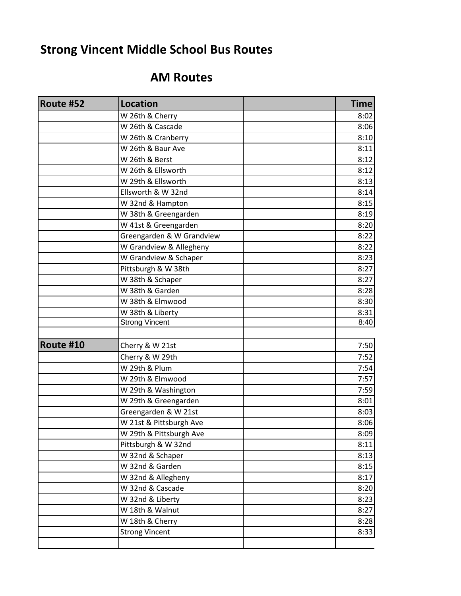## **Strong Vincent Middle School Bus Routes**

## **AM Routes**

| Route #52 | <b>Location</b>           | <b>Time</b> |
|-----------|---------------------------|-------------|
|           | W 26th & Cherry           | 8:02        |
|           | W 26th & Cascade          | 8:06        |
|           | W 26th & Cranberry        | 8:10        |
|           | W 26th & Baur Ave         | 8:11        |
|           | W 26th & Berst            | 8:12        |
|           | W 26th & Ellsworth        | 8:12        |
|           | W 29th & Ellsworth        | 8:13        |
|           | Ellsworth & W 32nd        | 8:14        |
|           | W 32nd & Hampton          | 8:15        |
|           | W 38th & Greengarden      | 8:19        |
|           | W 41st & Greengarden      | 8:20        |
|           | Greengarden & W Grandview | 8:22        |
|           | W Grandview & Allegheny   | 8:22        |
|           | W Grandview & Schaper     | 8:23        |
|           | Pittsburgh & W 38th       | 8:27        |
|           | W 38th & Schaper          | 8:27        |
|           | W 38th & Garden           | 8:28        |
|           | W 38th & Elmwood          | 8:30        |
|           | W 38th & Liberty          | 8:31        |
|           | <b>Strong Vincent</b>     | 8:40        |
| Route #10 | Cherry & W 21st           | 7:50        |
|           | Cherry & W 29th           | 7:52        |
|           | W 29th & Plum             | 7:54        |
|           | W 29th & Elmwood          | 7:57        |
|           | W 29th & Washington       | 7:59        |
|           | W 29th & Greengarden      | 8:01        |
|           | Greengarden & W 21st      | 8:03        |
|           | W 21st & Pittsburgh Ave   | 8:06        |
|           | W 29th & Pittsburgh Ave   | 8:09        |
|           | Pittsburgh & W 32nd       | 8:11        |
|           | W 32nd & Schaper          | 8:13        |
|           | W 32nd & Garden           | 8:15        |
|           | W 32nd & Allegheny        | 8:17        |
|           | W 32nd & Cascade          | 8:20        |
|           | W 32nd & Liberty          | 8:23        |
|           | W 18th & Walnut           | 8:27        |
|           | W 18th & Cherry           | 8:28        |
|           | <b>Strong Vincent</b>     | 8:33        |
|           |                           |             |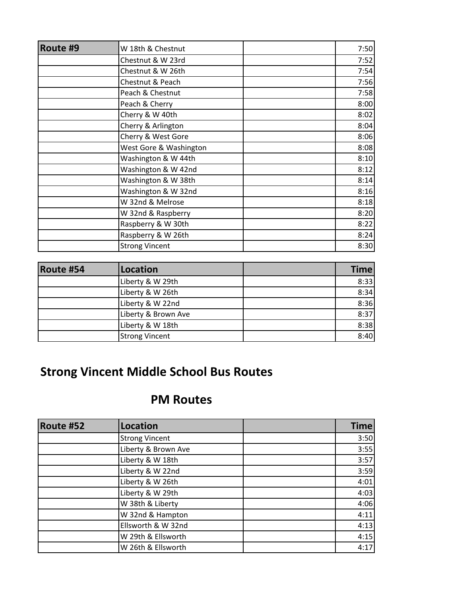| Route #9 | W 18th & Chestnut      | 7:50 |
|----------|------------------------|------|
|          |                        |      |
|          | Chestnut & W 23rd      | 7:52 |
|          | Chestnut & W 26th      | 7:54 |
|          | Chestnut & Peach       | 7:56 |
|          | Peach & Chestnut       | 7:58 |
|          | Peach & Cherry         | 8:00 |
|          | Cherry & W 40th        | 8:02 |
|          | Cherry & Arlington     | 8:04 |
|          | Cherry & West Gore     | 8:06 |
|          | West Gore & Washington | 8:08 |
|          | Washington & W 44th    | 8:10 |
|          | Washington & W 42nd    | 8:12 |
|          | Washington & W 38th    | 8:14 |
|          | Washington & W 32nd    | 8:16 |
|          | W 32nd & Melrose       | 8:18 |
|          | W 32nd & Raspberry     | 8:20 |
|          | Raspberry & W 30th     | 8:22 |
|          | Raspberry & W 26th     | 8:24 |
|          | <b>Strong Vincent</b>  | 8:30 |

| Route #54 | Location              | <b>Time</b> |
|-----------|-----------------------|-------------|
|           | Liberty & W 29th      | 8:33        |
|           | Liberty & W 26th      | 8:34        |
|           | Liberty & W 22nd      | 8:36        |
|           | Liberty & Brown Ave   | 8:37        |
|           | Liberty & W 18th      | 8:38        |
|           | <b>Strong Vincent</b> | 8:40        |

## **Strong Vincent Middle School Bus Routes**

## **PM Routes**

| Route #52 | Location              | <b>Time</b> |
|-----------|-----------------------|-------------|
|           | <b>Strong Vincent</b> | 3:50        |
|           | Liberty & Brown Ave   | 3:55        |
|           | Liberty & W 18th      | 3:57        |
|           | Liberty & W 22nd      | 3:59        |
|           | Liberty & W 26th      | 4:01        |
|           | Liberty & W 29th      | 4:03        |
|           | W 38th & Liberty      | 4:06        |
|           | W 32nd & Hampton      | 4:11        |
|           | Ellsworth & W 32nd    | 4:13        |
|           | W 29th & Ellsworth    | 4:15        |
|           | W 26th & Ellsworth    | 4:17        |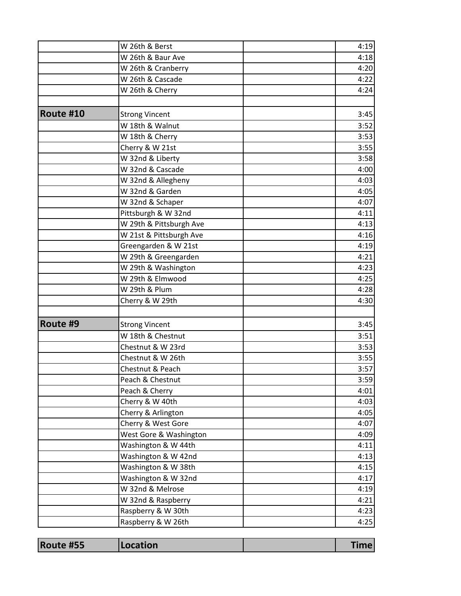|           | W 26th & Berst                    | 4:19         |
|-----------|-----------------------------------|--------------|
|           | W 26th & Baur Ave                 | 4:18         |
|           | W 26th & Cranberry                | 4:20         |
|           | W 26th & Cascade                  | 4:22         |
|           | W 26th & Cherry                   | 4:24         |
|           |                                   |              |
| Route #10 | <b>Strong Vincent</b>             | 3:45         |
|           | W 18th & Walnut                   | 3:52         |
|           | W 18th & Cherry                   | 3:53         |
|           | Cherry & W 21st                   | 3:55         |
|           | W 32nd & Liberty                  | 3:58         |
|           | W 32nd & Cascade                  | 4:00         |
|           | W 32nd & Allegheny                | 4:03         |
|           | W 32nd & Garden                   | 4:05         |
|           | W 32nd & Schaper                  | 4:07         |
|           | Pittsburgh & W 32nd               | 4:11         |
|           | W 29th & Pittsburgh Ave           | 4:13         |
|           | W 21st & Pittsburgh Ave           | 4:16         |
|           | Greengarden & W 21st              | 4:19         |
|           | W 29th & Greengarden              | 4:21         |
|           | W 29th & Washington               | 4:23         |
|           | W 29th & Elmwood                  | 4:25         |
|           | W 29th & Plum                     | 4:28         |
|           | Cherry & W 29th                   | 4:30         |
| Route #9  | <b>Strong Vincent</b>             | 3:45         |
|           | W 18th & Chestnut                 | 3:51         |
|           | Chestnut & W 23rd                 | 3:53         |
|           | Chestnut & W 26th                 | 3:55         |
|           | Chestnut & Peach                  |              |
|           |                                   | 3:57         |
|           | Peach & Chestnut                  | 3:59<br>4:01 |
|           | Peach & Cherry<br>Cherry & W 40th | 4:03         |
|           | Cherry & Arlington                | 4:05         |
|           | Cherry & West Gore                | 4:07         |
|           |                                   |              |
|           | West Gore & Washington            | 4:09         |
|           | Washington & W 44th               | 4:11         |
|           | Washington & W 42nd               | 4:13         |
|           | Washington & W 38th               | 4:15         |
|           | Washington & W 32nd               | 4:17         |
|           | W 32nd & Melrose                  | 4:19         |
|           | W 32nd & Raspberry                | 4:21         |
|           | Raspberry & W 30th                | 4:23         |
|           | Raspberry & W 26th                | 4:25         |

| Route #55 | <b>Location</b> |  |
|-----------|-----------------|--|
|           |                 |  |